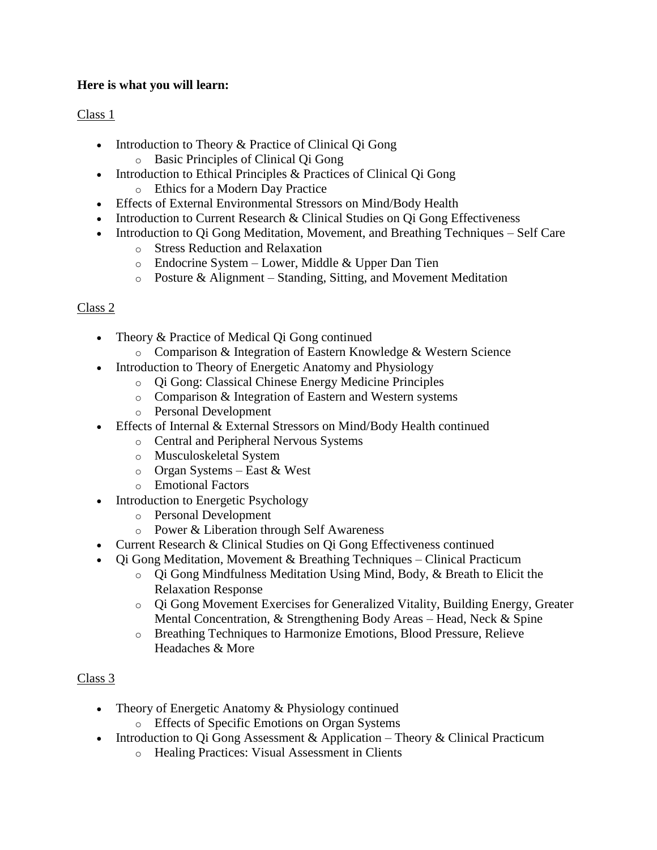# **Here is what you will learn:**

# Class 1

- Introduction to Theory & Practice of Clinical Qi Gong o Basic Principles of Clinical Qi Gong
- Introduction to Ethical Principles & Practices of Clinical Qi Gong o Ethics for a Modern Day Practice
- Effects of External Environmental Stressors on Mind/Body Health
- Introduction to Current Research & Clinical Studies on Qi Gong Effectiveness
- Introduction to Qi Gong Meditation, Movement, and Breathing Techniques Self Care
	- o Stress Reduction and Relaxation
	- $\circ$  Endocrine System Lower, Middle & Upper Dan Tien
	- o Posture & Alignment Standing, Sitting, and Movement Meditation

# Class 2

- Theory & Practice of Medical Oi Gong continued
	- o Comparison & Integration of Eastern Knowledge & Western Science
- Introduction to Theory of Energetic Anatomy and Physiology
	- o Qi Gong: Classical Chinese Energy Medicine Principles
	- o Comparison & Integration of Eastern and Western systems
	- o Personal Development
- Effects of Internal & External Stressors on Mind/Body Health continued
	- o Central and Peripheral Nervous Systems
	- o Musculoskeletal System
	- o Organ Systems East & West
	- o Emotional Factors
- Introduction to Energetic Psychology
	- o Personal Development
	- o Power & Liberation through Self Awareness
- Current Research & Clinical Studies on Qi Gong Effectiveness continued
- Qi Gong Meditation, Movement & Breathing Techniques Clinical Practicum
	- o Qi Gong Mindfulness Meditation Using Mind, Body, & Breath to Elicit the Relaxation Response
	- o Qi Gong Movement Exercises for Generalized Vitality, Building Energy, Greater Mental Concentration, & Strengthening Body Areas – Head, Neck & Spine
	- o Breathing Techniques to Harmonize Emotions, Blood Pressure, Relieve Headaches & More

## Class 3

- Theory of Energetic Anatomy & Physiology continued o Effects of Specific Emotions on Organ Systems
- Introduction to Qi Gong Assessment & Application Theory & Clinical Practicum
	- o Healing Practices: Visual Assessment in Clients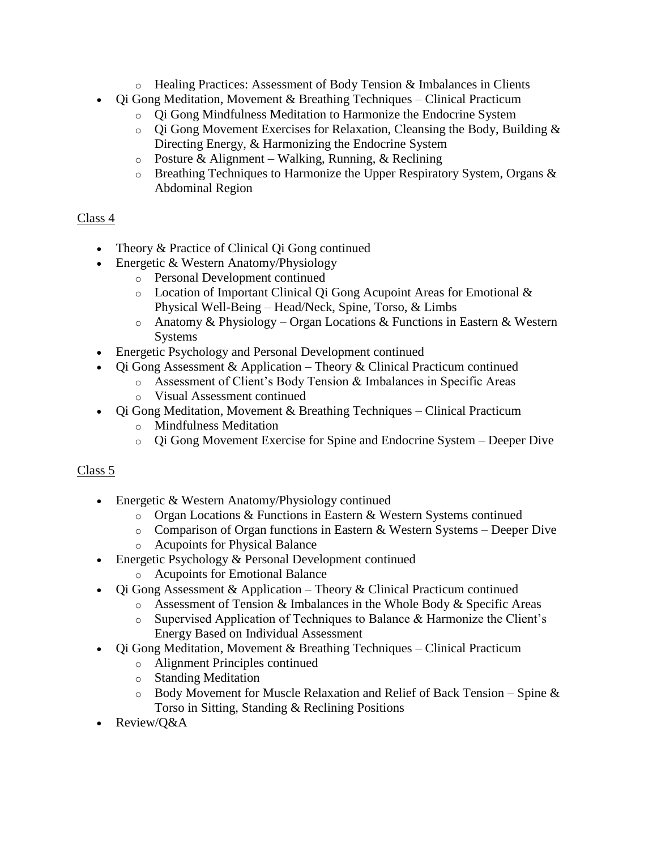- o Healing Practices: Assessment of Body Tension & Imbalances in Clients
- Qi Gong Meditation, Movement & Breathing Techniques Clinical Practicum
	- o Qi Gong Mindfulness Meditation to Harmonize the Endocrine System
	- o Qi Gong Movement Exercises for Relaxation, Cleansing the Body, Building & Directing Energy, & Harmonizing the Endocrine System
	- $\circ$  Posture & Alignment Walking, Running, & Reclining
	- o Breathing Techniques to Harmonize the Upper Respiratory System, Organs & Abdominal Region

# Class 4

- Theory & Practice of Clinical Qi Gong continued
- Energetic & Western Anatomy/Physiology
	- o Personal Development continued
		- o Location of Important Clinical Qi Gong Acupoint Areas for Emotional & Physical Well-Being – Head/Neck, Spine, Torso, & Limbs
		- o Anatomy & Physiology Organ Locations & Functions in Eastern & Western Systems
- Energetic Psychology and Personal Development continued
- Qi Gong Assessment & Application Theory & Clinical Practicum continued
	- o Assessment of Client's Body Tension & Imbalances in Specific Areas
		- o Visual Assessment continued
- Qi Gong Meditation, Movement & Breathing Techniques Clinical Practicum
	- o Mindfulness Meditation
	- o Qi Gong Movement Exercise for Spine and Endocrine System Deeper Dive

## Class 5

- Energetic & Western Anatomy/Physiology continued
	- o Organ Locations & Functions in Eastern & Western Systems continued
	- $\circ$  Comparison of Organ functions in Eastern & Western Systems Deeper Dive
	- o Acupoints for Physical Balance
- Energetic Psychology & Personal Development continued
	- o Acupoints for Emotional Balance
- Qi Gong Assessment & Application Theory & Clinical Practicum continued
	- o Assessment of Tension & Imbalances in the Whole Body & Specific Areas
	- o Supervised Application of Techniques to Balance & Harmonize the Client's Energy Based on Individual Assessment
- Qi Gong Meditation, Movement & Breathing Techniques Clinical Practicum
	- o Alignment Principles continued
	- o Standing Meditation
	- $\circ$  Body Movement for Muscle Relaxation and Relief of Back Tension Spine & Torso in Sitting, Standing & Reclining Positions
- Review/Q&A